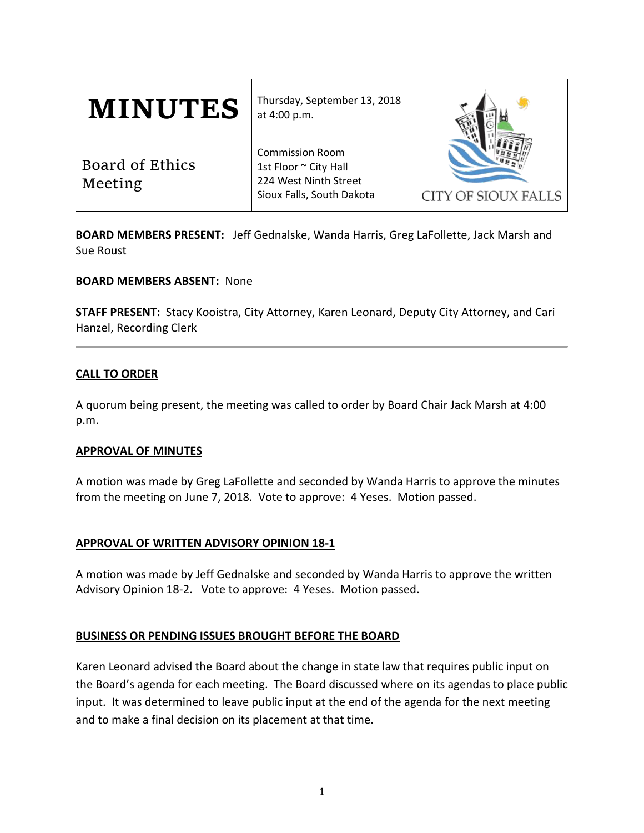| <b>MINUTES</b>             | Thursday, September 13, 2018<br>at 4:00 p.m.                                                          | CITY OF SIOUX FALLS |
|----------------------------|-------------------------------------------------------------------------------------------------------|---------------------|
| Board of Ethics<br>Meeting | <b>Commission Room</b><br>1st Floor ~ City Hall<br>224 West Ninth Street<br>Sioux Falls, South Dakota |                     |

**BOARD MEMBERS PRESENT:** Jeff Gednalske, Wanda Harris, Greg LaFollette, Jack Marsh and Sue Roust

**BOARD MEMBERS ABSENT:** None

**STAFF PRESENT:** Stacy Kooistra, City Attorney, Karen Leonard, Deputy City Attorney, and Cari Hanzel, Recording Clerk

#### **CALL TO ORDER**

A quorum being present, the meeting was called to order by Board Chair Jack Marsh at 4:00 p.m.

#### **APPROVAL OF MINUTES**

A motion was made by Greg LaFollette and seconded by Wanda Harris to approve the minutes from the meeting on June 7, 2018. Vote to approve: 4 Yeses. Motion passed.

## **APPROVAL OF WRITTEN ADVISORY OPINION 18-1**

A motion was made by Jeff Gednalske and seconded by Wanda Harris to approve the written Advisory Opinion 18-2. Vote to approve: 4 Yeses. Motion passed.

## **BUSINESS OR PENDING ISSUES BROUGHT BEFORE THE BOARD**

Karen Leonard advised the Board about the change in state law that requires public input on the Board's agenda for each meeting. The Board discussed where on its agendas to place public input. It was determined to leave public input at the end of the agenda for the next meeting and to make a final decision on its placement at that time.